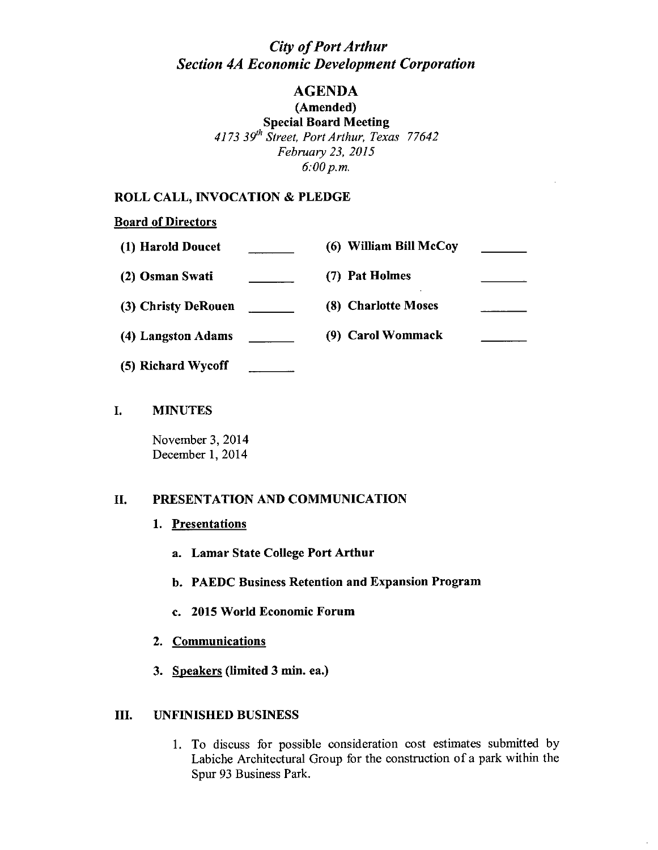## *City of Port Arthur Section 4A Economic Development Corporation*

# AGENDA

(Amended) Special Board Meeting *4173 39'h Street, Port Arthur, Texas 77642 February* 23, *2015*

*6:00 p.m.*

## ROLL CALL, INVOCATION & PLEDGE

## **Board of Directors**

| (1) Harold Doucet   | (6) William Bill McCoy |  |
|---------------------|------------------------|--|
| (2) Osman Swati     | (7) Pat Holmes         |  |
| (3) Christy DeRouen | (8) Charlotte Moses    |  |
| (4) Langston Adams  | (9) Carol Wommack      |  |
| (5) Richard Wycoff  |                        |  |

## I. MINUTES

November 3, 2014 December 1, 2014

## II. PRESENTATION AND COMMUNICATION

- 1. Presentations
	- a. Lamar State College Port Arthur
	- b. PAEDC Business Retention and Expansion Program
	- c. 2015 World Economic Forum
- 2. Communications
- 3. Speakers (limited 3 min. ea.)

#### III. UNFINISHED BUSINESS

1. To discuss for possible consideration cost estimates submitted by Labiche Architectural Group for the construction of a park within the Spur 93 Business Park.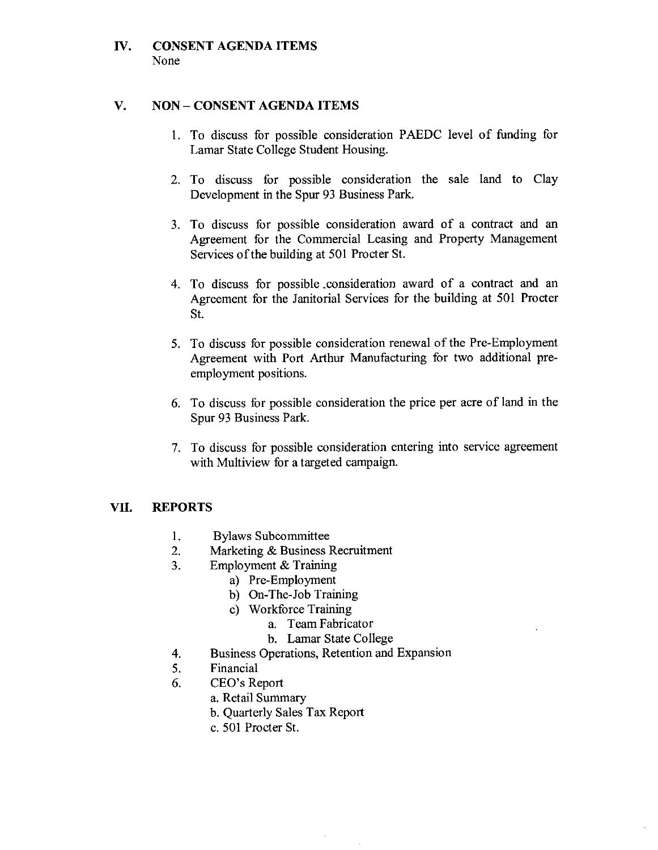## **IV. CONSENT AGENDA ITEMS** None

## **V. NON - CONSENT AGENDA ITEMS**

- 1. To discuss for possible consideration PAEDC level of funding for Lamar State College Student Housing.
- 2. To discuss for possible consideration the sale land to Clay Development in the Spur 93 Business Park.
- 3. To discuss for possible consideration award of a contract and an Agreement for the Commercial Leasing and Property Management Services of the building at 501 Procter St.
- 4. To discuss for possible .consideration award of a contract and an Agreement for the Janitorial Services for the building at 501 Procter St.
- 5. To discuss for possible consideration renewal of the Pre-Employment Agreement with Port Arthur Manufacturing for two additional preemployment positions.
- 6. To discuss for possible consideration the price per acre of land in the Spur 93 Business Park.
- 7. To discuss for possible consideration entering into service agreement with Multiview for a targeted campaign.

## **VII. REPORTS**

- 1. Bylaws Subcommittee
- 2. Marketing & Business Recruitment
- 3. Employment & Training
	- a) Pre-Employment
		- b) On-The-Job Training
		- c) Workforce Training
			- a. Team Fabricator
			- b. Lamar State College
- 4. Business Operations, Retention and Expansion

 $\mathbb{R}^2$ 

- 5. Financial
- 6. CEO's Report
	- a. Retail Summary
	- b. Quarterly Sales Tax Report
	- c. 501 Procter St.